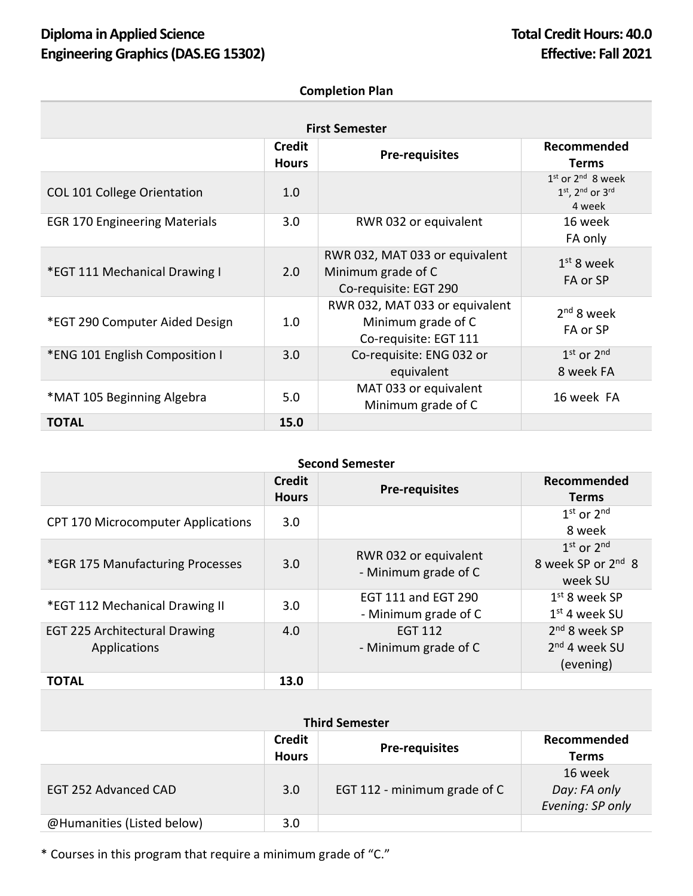# **Diploma** in Applied Science **Total Credit Hours: 40.0 Engineering Graphics(DAS.EG 15302) Effective: Fall 2021**

### **Completion Plan**

| <b>First Semester</b>                |                               |                                                                               |                                                    |  |  |  |
|--------------------------------------|-------------------------------|-------------------------------------------------------------------------------|----------------------------------------------------|--|--|--|
|                                      | <b>Credit</b><br><b>Hours</b> | <b>Pre-requisites</b>                                                         | Recommended<br><b>Terms</b>                        |  |  |  |
| <b>COL 101 College Orientation</b>   | 1.0                           |                                                                               | $1st$ or $2nd$ 8 week<br>1st, 2nd or 3rd<br>4 week |  |  |  |
| <b>EGR 170 Engineering Materials</b> | 3.0                           | RWR 032 or equivalent                                                         | 16 week<br>FA only                                 |  |  |  |
| *EGT 111 Mechanical Drawing I        | 2.0                           | RWR 032, MAT 033 or equivalent<br>Minimum grade of C<br>Co-requisite: EGT 290 | $1st$ 8 week<br>FA or SP                           |  |  |  |
| *EGT 290 Computer Aided Design       | 1.0                           | RWR 032, MAT 033 or equivalent<br>Minimum grade of C<br>Co-requisite: EGT 111 | $2nd$ 8 week<br>FA or SP                           |  |  |  |
| *ENG 101 English Composition I       | 3.0                           | Co-requisite: ENG 032 or<br>equivalent                                        | $1st$ or $2nd$<br>8 week FA                        |  |  |  |
| *MAT 105 Beginning Algebra           | 5.0                           | MAT 033 or equivalent<br>Minimum grade of C                                   | 16 week FA                                         |  |  |  |
| <b>TOTAL</b>                         | 15.0                          |                                                                               |                                                    |  |  |  |

### **Second Semester**

|                                                      | <b>Credit</b><br><b>Hours</b> | <b>Pre-requisites</b>                              | Recommended<br><b>Terms</b>                                 |
|------------------------------------------------------|-------------------------------|----------------------------------------------------|-------------------------------------------------------------|
| <b>CPT 170 Microcomputer Applications</b>            | 3.0                           |                                                    | $1st$ or $2nd$<br>8 week                                    |
| *EGR 175 Manufacturing Processes                     | 3.0                           | RWR 032 or equivalent<br>- Minimum grade of C      | $1st$ or $2nd$<br>8 week SP or 2 <sup>nd</sup> 8<br>week SU |
| *EGT 112 Mechanical Drawing II                       | 3.0                           | <b>EGT 111 and EGT 290</b><br>- Minimum grade of C | $1st$ 8 week SP<br>$1st$ 4 week SU                          |
| <b>EGT 225 Architectural Drawing</b><br>Applications | 4.0                           | EGT 112<br>- Minimum grade of C                    | $2nd$ 8 week SP<br>2 <sup>nd</sup> 4 week SU<br>(evening)   |
| TOTAL                                                | 13.0                          |                                                    |                                                             |

| <b>Third Semester</b>      |                               |                              |                                             |  |  |
|----------------------------|-------------------------------|------------------------------|---------------------------------------------|--|--|
|                            | <b>Credit</b><br><b>Hours</b> | <b>Pre-requisites</b>        | Recommended<br><b>Terms</b>                 |  |  |
| EGT 252 Advanced CAD       | 3.0                           | EGT 112 - minimum grade of C | 16 week<br>Day: FA only<br>Evening: SP only |  |  |
| @Humanities (Listed below) | 3.0                           |                              |                                             |  |  |

\* Courses in this program that require a minimum grade of "C."